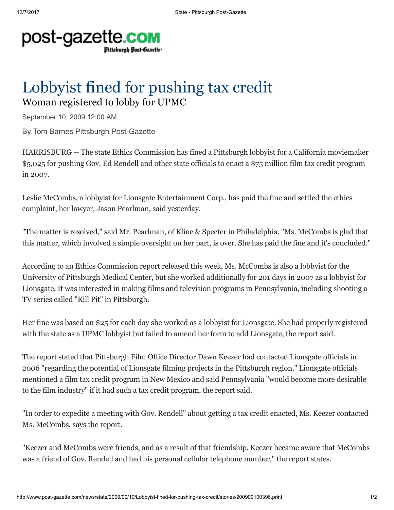## post-gazette.com Pittsburgh Post-Gazette<sup>.</sup>

## Lobbyist fined for pushing tax credit Woman registered to lobby for UPMC

September 10, 2009 12:00 AM

By Tom Barnes Pittsburgh Post-Gazette

HARRISBURG -- The state Ethics Commission has fined a Pittsburgh lobbyist for a California moviemaker \$5,025 for pushing Gov. Ed Rendell and other state officials to enact a \$75 million film tax credit program in 2007.

Leslie McCombs, a lobbyist for Lionsgate Entertainment Corp., has paid the fine and settled the ethics complaint, her lawyer, Jason Pearlman, said yesterday.

"The matter is resolved," said Mr. Pearlman, of Kline & Specter in Philadelphia. "Ms. McCombs is glad that this matter, which involved a simple oversight on her part, is over. She has paid the fine and it's concluded."

According to an Ethics Commission report released this week, Ms. McCombs is also a lobbyist for the University of Pittsburgh Medical Center, but she worked additionally for 201 days in 2007 as a lobbyist for Lionsgate. It was interested in making films and television programs in Pennsylvania, including shooting a TV series called "Kill Pit" in Pittsburgh.

Her fine was based on \$25 for each day she worked as a lobbyist for Lionsgate. She had properly registered with the state as a UPMC lobbyist but failed to amend her form to add Lionsgate, the report said.

The report stated that Pittsburgh Film Office Director Dawn Keezer had contacted Lionsgate officials in 2006 "regarding the potential of Lionsgate filming projects in the Pittsburgh region." Lionsgate officials mentioned a film tax credit program in New Mexico and said Pennsylvania "would become more desirable to the film industry" if it had such a tax credit program, the report said.

"In order to expedite a meeting with Gov. Rendell" about getting a tax credit enacted, Ms. Keezer contacted Ms. McCombs, says the report.

"Keezer and McCombs were friends, and as a result of that friendship, Keezer became aware that McCombs was a friend of Gov. Rendell and had his personal cellular telephone number," the report states.